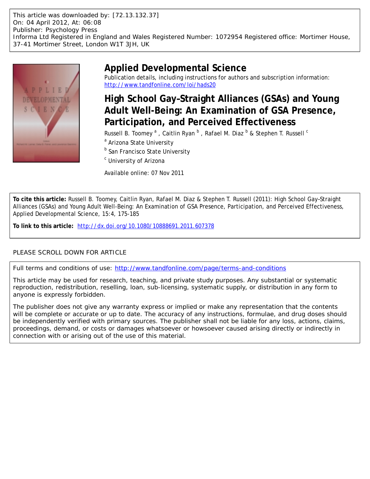This article was downloaded by: [72.13.132.37] On: 04 April 2012, At: 06:08 Publisher: Psychology Press Informa Ltd Registered in England and Wales Registered Number: 1072954 Registered office: Mortimer House, 37-41 Mortimer Street, London W1T 3JH, UK



# **Applied Developmental Science**

Publication details, including instructions for authors and subscription information: <http://www.tandfonline.com/loi/hads20>

**High School Gay–Straight Alliances (GSAs) and Young Adult Well-Being: An Examination of GSA Presence, Participation, and Perceived Effectiveness**

Russell B. Toomey  $^{\rm a}$  , Caitlin Ryan  $^{\rm b}$  , Rafael M. Diaz  $^{\rm b}$  & Stephen T. Russell  $^{\rm c}$ 

- <sup>a</sup> Arizona State University
- <sup>b</sup> San Francisco State University
- <sup>c</sup> University of Arizona

Available online: 07 Nov 2011

**To cite this article:** Russell B. Toomey, Caitlin Ryan, Rafael M. Diaz & Stephen T. Russell (2011): High School Gay–Straight Alliances (GSAs) and Young Adult Well-Being: An Examination of GSA Presence, Participation, and Perceived Effectiveness, Applied Developmental Science, 15:4, 175-185

**To link to this article:** <http://dx.doi.org/10.1080/10888691.2011.607378>

# PLEASE SCROLL DOWN FOR ARTICLE

Full terms and conditions of use:<http://www.tandfonline.com/page/terms-and-conditions>

This article may be used for research, teaching, and private study purposes. Any substantial or systematic reproduction, redistribution, reselling, loan, sub-licensing, systematic supply, or distribution in any form to anyone is expressly forbidden.

The publisher does not give any warranty express or implied or make any representation that the contents will be complete or accurate or up to date. The accuracy of any instructions, formulae, and drug doses should be independently verified with primary sources. The publisher shall not be liable for any loss, actions, claims, proceedings, demand, or costs or damages whatsoever or howsoever caused arising directly or indirectly in connection with or arising out of the use of this material.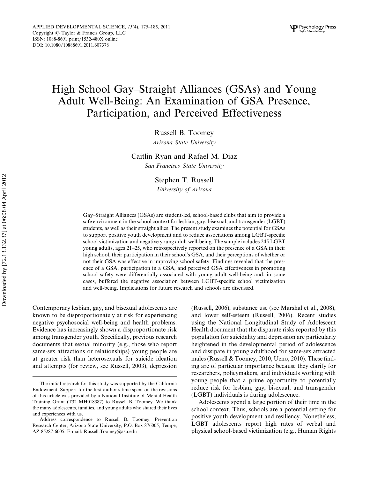# High School Gay–Straight Alliances (GSAs) and Young Adult Well-Being: An Examination of GSA Presence, Participation, and Perceived Effectiveness

## Russell B. Toomey

Arizona State University

Caitlin Ryan and Rafael M. Diaz

San Francisco State University

Stephen T. Russell

University of Arizona

Gay–Straight Alliances (GSAs) are student-led, school-based clubs that aim to provide a safe environment in the school context for lesbian, gay, bisexual, and transgender (LGBT) students, as well as their straight allies. The present study examines the potential for GSAs to support positive youth development and to reduce associations among LGBT-specific school victimization and negative young adult well-being. The sample includes 245 LGBT young adults, ages 21–25, who retrospectively reported on the presence of a GSA in their high school, their participation in their school's GSA, and their perceptions of whether or not their GSA was effective in improving school safety. Findings revealed that the presence of a GSA, participation in a GSA, and perceived GSA effectiveness in promoting school safety were differentially associated with young adult well-being and, in some cases, buffered the negative association between LGBT-specific school victimization and well-being. Implications for future research and schools are discussed.

Contemporary lesbian, gay, and bisexual adolescents are known to be disproportionately at risk for experiencing negative psychosocial well-being and health problems. Evidence has increasingly shown a disproportionate risk among transgender youth. Specifically, previous research documents that sexual minority (e.g., those who report same-sex attractions or relationships) young people are at greater risk than heterosexuals for suicide ideation and attempts (for review, see Russell, 2003), depression

(Russell, 2006), substance use (see Marshal et al., 2008), and lower self-esteem (Russell, 2006). Recent studies using the National Longitudinal Study of Adolescent Health document that the disparate risks reported by this population for suicidality and depression are particularly heightened in the developmental period of adolescence and dissipate in young adulthood for same-sex attracted males (Russell & Toomey, 2010; Ueno, 2010). These finding are of particular importance because they clarify for researchers, policymakers, and individuals working with young people that a prime opportunity to potentially reduce risk for lesbian, gay, bisexual, and transgender (LGBT) individuals is during adolescence.

Adolescents spend a large portion of their time in the school context. Thus, schools are a potential setting for positive youth development and resiliency. Nonetheless, LGBT adolescents report high rates of verbal and physical school-based victimization (e.g., Human Rights

The initial research for this study was supported by the California Endowment. Support for the first author's time spent on the revisions of this article was provided by a National Institute of Mental Health Training Grant (T32 MH018387) to Russell B. Toomey. We thank the many adolescents, families, and young adults who shared their lives and experiences with us.

Address correspondence to Russell B. Toomey, Prevention Research Center, Arizona State University, P.O. Box 876005, Tempe, AZ 85287-6005. E-mail: Russell.Toomey@asu.edu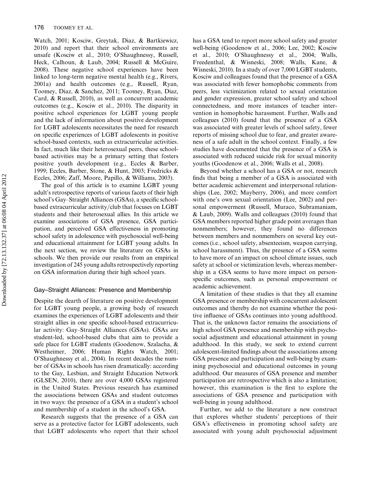Watch, 2001; Kosciw, Greytak, Diaz, & Bartkiewicz, 2010) and report that their school environments are unsafe (Kosciw et al., 2010; O'Shaughnessy, Russell, Heck, Calhoun, & Laub, 2004; Russell & McGuire, 2008). These negative school experiences have been linked to long-term negative mental health (e.g., Rivers, 2001a) and health outcomes (e.g., Russell, Ryan, Toomey, Diaz, & Sanchez, 2011; Toomey, Ryan, Diaz, Card, & Russell, 2010), as well as concurrent academic outcomes (e.g., Kosciw et al., 2010). The disparity in positive school experiences for LGBT young people and the lack of information about positive development for LGBT adolescents necessitates the need for research on specific experiences of LGBT adolescents in positive school-based contexts, such as extracurricular activities. In fact, much like their heterosexual peers, these schoolbased activities may be a primary setting that fosters positive youth development (e.g., Eccles & Barber, 1999; Eccles, Barber, Stone, & Hunt, 2003; Fredricks & Eccles, 2006; Zaff, Moore, Papillo, & Williams, 2003).

The goal of this article is to examine LGBT young adult's retrospective reports of various facets of their high school's Gay–Straight Alliances (GSAs), a specific schoolbased extracurricular activity/club that focuses on LGBT students and their heterosexual allies. In this article we examine associations of GSA presence, GSA participation, and perceived GSA effectiveness in promoting school safety in adolescence with psychosocial well-being and educational attainment for LGBT young adults. In the next section, we review the literature on GSAs in schools. We then provide our results from an empirical investigation of 245 young adults retrospectively reporting on GSA information during their high school years.

#### Gay–Straight Alliances: Presence and Membership

Despite the dearth of literature on positive development for LGBT young people, a growing body of research examines the experiences of LGBT adolescents and their straight allies in one specific school-based extracurricular activity: Gay–Straight Alliances (GSAs). GSAs are student-led, school-based clubs that aim to provide a safe place for LGBT students (Goodenow, Szalacha, & Westheimer, 2006; Human Rights Watch, 2001; O'Shaughnessy et al., 2004). In recent decades the number of GSAs in schools has risen dramatically: according to the Gay, Lesbian, and Straight Education Network (GLSEN, 2010), there are over 4,000 GSAs registered in the United States. Previous research has examined the associations between GSAs and student outcomes in two ways: the presence of a GSA in a student's school and membership of a student in the school's GSA.

Research suggests that the presence of a GSA can serve as a protective factor for LGBT adolescents, such that LGBT adolescents who report that their school has a GSA tend to report more school safety and greater well-being (Goodenow et al., 2006; Lee, 2002; Kosciw et al., 2010; O'Shaughnessy et al., 2004; Walls, Freedenthal, & Wisneski, 2008; Walls, Kane, & Wisneski, 2010). In a study of over 7,000 LGBT students, Kosciw and colleagues found that the presence of a GSA was associated with fewer homophobic comments from peers, less victimization related to sexual orientation and gender expression, greater school safety and school connectedness, and more instances of teacher intervention in homophobic harassment. Further, Walls and colleagues (2010) found that the presence of a GSA was associated with greater levels of school safety, fewer reports of missing school due to fear, and greater awareness of a safe adult in the school context. Finally, a few studies have documented that the presence of a GSA is associated with reduced suicide risk for sexual minority youths (Goodenow et al., 2006; Walls et al., 2008).

Beyond whether a school has a GSA or not, research finds that being a member of a GSA is associated with better academic achievement and interpersonal relationships (Lee, 2002; Mayberry, 2006), and more comfort with one's own sexual orientation (Lee, 2002) and personal empowerment (Russell, Muraco, Subramaniam, & Laub, 2009). Walls and colleagues (2010) found that GSA members reported higher grade point averages than nonmembers; however, they found no differences between members and nonmembers on several key outcomes (i.e., school safety, absenteeism, weapon carrying, school harassment). Thus, the presence of a GSA seems to have more of an impact on school climate issues, such safety at school or victimization levels, whereas membership in a GSA seems to have more impact on personspecific outcomes, such as personal empowerment or academic achievement.

A limitation of these studies is that they all examine GSA presence or membership with concurrent adolescent outcomes and thereby do not examine whether the positive influence of GSAs continues into young adulthood. That is, the unknown factor remains the associations of high school GSA presence and membership with psychosocial adjustment and educational attainment in young adulthood. In this study, we seek to extend current adolescent-limited findings about the associations among GSA presence and participation and well-being by examining psychosocial and educational outcomes in young adulthood. Our measures of GSA presence and member participation are retrospective which is also a limitation; however, this examination is the first to explore the associations of GSA presence and participation with well-being in young adulthood.

Further, we add to the literature a new construct that explores whether students' perceptions of their GSA's effectiveness in promoting school safety are associated with young adult psychosocial adjustment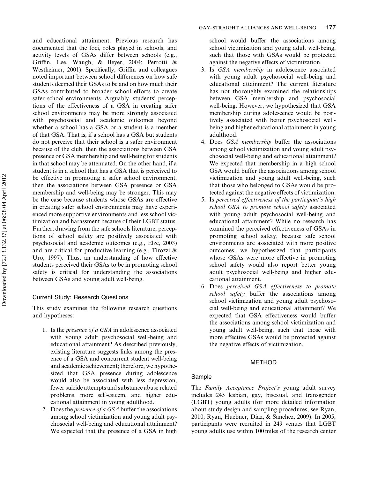and educational attainment. Previous research has documented that the foci, roles played in schools, and activity levels of GSAs differ between schools (e.g., Griffin, Lee, Waugh, & Beyer, 2004; Perrotti & Westheimer, 2001). Specifically, Griffin and colleagues noted important between school differences on how safe students deemed their GSAs to be and on how much their GSAs contributed to broader school efforts to create safer school environments. Arguably, students' perceptions of the effectiveness of a GSA in creating safer school environments may be more strongly associated with psychosocial and academic outcomes beyond whether a school has a GSA or a student is a member of that GSA. That is, if a school has a GSA but students do not perceive that their school is a safer environment because of the club, then the associations between GSA presence or GSA membership and well-being for students in that school may be attenuated. On the other hand, if a student is in a school that has a GSA that is perceived to be effective in promoting a safer school environment, then the associations between GSA presence or GSA membership and well-being may be stronger. This may be the case because students whose GSAs are effective in creating safer school environments may have experienced more supportive environments and less school victimization and harassment because of their LGBT status. Further, drawing from the safe schools literature, perceptions of school safety are positively associated with psychosocial and academic outcomes (e.g., Elze, 2003) and are critical for productive learning (e.g., Tirozzi & Uro, 1997). Thus, an understanding of how effective students perceived their GSAs to be in promoting school safety is critical for understanding the associations between GSAs and young adult well-being.

#### Current Study: Research Questions

This study examines the following research questions and hypotheses:

- 1. Is the presence of a GSA in adolescence associated with young adult psychosocial well-being and educational attainment? As described previously, existing literature suggests links among the presence of a GSA and concurrent student well-being and academic achievement; therefore, we hypothesized that GSA presence during adolescence would also be associated with less depression, fewer suicide attempts and substance abuse related problems, more self-esteem, and higher educational attainment in young adulthood.
- 2. Does the presence of a GSA buffer the associations among school victimization and young adult psychosocial well-being and educational attainment? We expected that the presence of a GSA in high

school would buffer the associations among school victimization and young adult well-being, such that those with GSAs would be protected against the negative effects of victimization.

- 3. Is GSA membership in adolescence associated with young adult psychosocial well-being and educational attainment? The current literature has not thoroughly examined the relationships between GSA membership and psychosocial well-being. However, we hypothesized that GSA membership during adolescence would be positively associated with better psychosocial wellbeing and higher educational attainment in young adulthood.
- 4. Does GSA membership buffer the associations among school victimization and young adult psychosocial well-being and educational attainment? We expected that membership in a high school GSA would buffer the associations among school victimization and young adult well-being, such that those who belonged to GSAs would be protected against the negative effects of victimization.
- 5. Is perceived effectiveness of the participant's high school GSA to promote school safety associated with young adult psychosocial well-being and educational attainment? While no research has examined the perceived effectiveness of GSAs in promoting school safety, because safe school environments are associated with more positive outcomes, we hypothesized that participants whose GSAs were more effective in promoting school safety would also report better young adult psychosocial well-being and higher educational attainment.
- 6. Does perceived GSA effectiveness to promote school safety buffer the associations among school victimization and young adult psychosocial well-being and educational attainment? We expected that GSA effectiveness would buffer the associations among school victimization and young adult well-being, such that those with more effective GSAs would be protected against the negative effects of victimization.

## METHOD

### Sample

The Family Acceptance Project's young adult survey includes 245 lesbian, gay, bisexual, and transgender (LGBT) young adults (for more detailed information about study design and sampling procedures, see Ryan, 2010; Ryan, Huebner, Diaz, & Sanchez, 2009). In 2005, participants were recruited in 249 venues that LGBT young adults use within 100 miles of the research center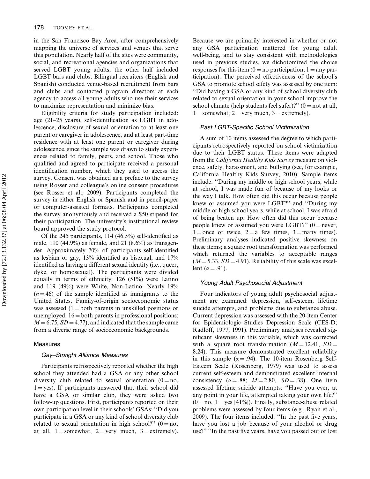in the San Francisco Bay Area, after comprehensively mapping the universe of services and venues that serve this population. Nearly half of the sites were community, social, and recreational agencies and organizations that served LGBT young adults; the other half included LGBT bars and clubs. Bilingual recruiters (English and Spanish) conducted venue-based recruitment from bars and clubs and contacted program directors at each agency to access all young adults who use their services to maximize representation and minimize bias.

Eligibility criteria for study participation included: age (21–25 years), self-identification as LGBT in adolescence, disclosure of sexual orientation to at least one parent or caregiver in adolescence, and at least part-time residence with at least one parent or caregiver during adolescence, since the sample was drawn to study experiences related to family, peers, and school. Those who qualified and agreed to participate received a personal identification number, which they used to access the survey. Consent was obtained as a preface to the survey using Rosser and colleague's online consent procedures (see Rosser et al., 2009). Participants completed the survey in either English or Spanish and in pencil-paper or computer-assisted formats. Participants completed the survey anonymously and received a \$50 stipend for their participation. The university's institutional review board approved the study protocol.

Of the 245 participants, 114 (46.5%) self-identified as male,  $110 (44.9%)$  as female, and  $21 (8.6%)$  as transgender. Approximately 70% of participants self-identified as lesbian or gay, 13% identified as bisexual, and 17% identified as having a different sexual identity (i.e., queer, dyke, or homosexual). The participants were divided equally in terms of ethnicity: 126 (51%) were Latino and 119 (49%) were White, Non-Latino. Nearly 19%  $(n = 46)$  of the sample identified as immigrants to the United States. Family-of-origin socioeconomic status was assessed  $(1 = \text{both parents in unskilled positions or})$ unemployed,  $16 =$  both parents in professional positions;  $M = 6.75$ ,  $SD = 4.77$ , and indicated that the sample came from a diverse range of socioeconomic backgrounds.

#### Measures

## Gay–Straight Alliance Measures

Participants retrospectively reported whether the high school they attended had a GSA or any other school diversity club related to sexual orientation  $(0 = no,$  $1 = yes$ ). If participants answered that their school did have a GSA or similar club, they were asked two follow-up questions. First, participants reported on their own participation level in their schools' GSAs: ''Did you participate in a GSA or any kind of school diversity club related to sexual orientation in high school?"  $(0 = not$ at all,  $1 =$ somewhat,  $2 =$ very much,  $3 =$ extremely).

Because we are primarily interested in whether or not any GSA participation mattered for young adult well-being, and to stay consistent with methodologies used in previous studies, we dichotomized the choice responses for this item  $(0 = no$  participation,  $1 = any$  participation). The perceived effectiveness of the school's GSA to promote school safety was assessed by one item: ''Did having a GSA or any kind of school diversity club related to sexual orientation in your school improve the school climate (help students feel safer)?" ( $0 =$ not at all,  $1 =$ somewhat,  $2 =$ very much,  $3 =$ extremely).

#### Past LGBT-Specific School Victimization

A sum of 10 items assessed the degree to which participants retrospectively reported on school victimization due to their LGBT status. These items were adapted from the California Healthy Kids Survey measure on violence, safety, harassment, and bullying (see, for example, California Healthy Kids Survey, 2010). Sample items include: ''During my middle or high school years, while at school, I was made fun of because of my looks or the way I talk. How often did this occur because people knew or assumed you were LGBT?'' and ''During my middle or high school years, while at school, I was afraid of being beaten up. How often did this occur because people knew or assumed you were LGBT?"  $(0 =$  never,  $1 =$  once or twice,  $2 =$  a few times,  $3 =$  many times). Preliminary analyses indicated positive skewness on these items; a square root transformation was performed which returned the variables to acceptable ranges  $(M = 5.33, SD = 4.91)$ . Reliability of this scale was excellent ( $\alpha = .91$ ).

## Young Adult Psychosocial Adjustment

Four indicators of young adult psychosocial adjustment are examined: depression, self-esteem, lifetime suicide attempts, and problems due to substance abuse. Current depression was assessed with the 20-item Center for Epidemiologic Studies Depression Scale (CES-D; Radloff, 1977, 1991). Preliminary analyses revealed significant skewness in this variable, which was corrected with a square root transformation  $(M = 12.41, SD =$ 8.24). This measure demonstrated excellent reliability in this sample ( $\alpha = .94$ ). The 10-item Rosenberg Self-Esteem Scale (Rosenberg, 1979) was used to assess current self-esteem and demonstrated excellent internal consistency ( $\alpha = .88$ ;  $M = 2.80$ ,  $SD = .38$ ). One item assessed lifetime suicide attempts: ''Have you ever, at any point in your life, attempted taking your own life?''  $(0 = no, 1 = yes [41\%])$ . Finally, substance-abuse related problems were assessed by four items (e.g., Ryan et al., 2009). The four items included: ''In the past five years, have you lost a job because of your alcohol or drug use?'' ''In the past five years, have you passed out or lost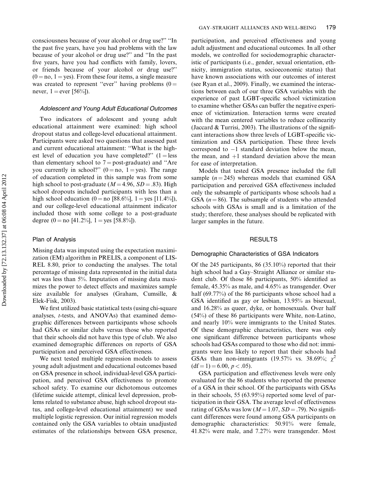consciousness because of your alcohol or drug use?'' ''In the past five years, have you had problems with the law because of your alcohol or drug use?'' and ''In the past five years, have you had conflicts with family, lovers, or friends because of your alcohol or drug use?''  $(0 = no, 1 = yes)$ . From these four items, a single measure was created to represent "ever" having problems  $(0 =$ never,  $1 =$  ever [56%]).

#### Adolescent and Young Adult Educational Outcomes

Two indicators of adolescent and young adult educational attainment were examined: high school dropout status and college-level educational attainment. Participants were asked two questions that assessed past and current educational attainment: ''What is the highest level of education you have completed?"  $(1 = less$ than elementary school to  $7 =$  post-graduate) and "Are you currently in school?"  $(0 = no, 1 = yes)$ . The range of education completed in this sample was from some high school to post-graduate ( $M = 4.96$ ,  $SD = .83$ ). High school dropouts included participants with less than a high school education  $(0 = no \, [88.6\%], \, 1 = yes \, [11.4\%]),$ and our college-level educational attainment indicator included those with some college to a post-graduate degree (0 = no [41.2%], 1 = yes [58.8%]).

### Plan of Analysis

Missing data was imputed using the expectation maximization (EM) algorithm in PRELIS, a component of LIS-REL 8.80, prior to conducting the analyses. The total percentage of missing data represented in the initial data set was less than 5%. Imputation of missing data maximizes the power to detect effects and maximizes sample size available for analyses (Graham, Cumsille, & Elek-Fisk, 2003).

We first utilized basic statistical tests (using chi-square analyses, t-tests, and ANOVAs) that examined demographic differences between participants whose schools had GSAs or similar clubs versus those who reported that their schools did not have this type of club. We also examined demographic differences on reports of GSA participation and perceived GSA effectiveness.

We next tested multiple regression models to assess young adult adjustment and educational outcomes based on GSA presence in school, individual-level GSA participation, and perceived GSA effectiveness to promote school safety. To examine our dichotomous outcomes (lifetime suicide attempt, clinical level depression, problems related to substance abuse, high school dropout status, and college-level educational attainment) we used multiple logistic regression. Our initial regression models contained only the GSA variables to obtain unadjusted estimates of the relationships between GSA presence,

participation, and perceived effectiveness and young adult adjustment and educational outcomes. In all other models, we controlled for sociodemographic characteristic of participants (i.e., gender, sexual orientation, ethnicity, immigration status, socioeconomic status) that have known associations with our outcomes of interest (see Ryan et al., 2009). Finally, we examined the interactions between each of our three GSA variables with the experience of past LGBT-specific school victimization to examine whether GSAs can buffer the negative experience of victimization. Interaction terms were created with the mean centered variables to reduce collinearity (Jaccard & Turrisi, 2003). The illustrations of the significant interactions show three levels of LGBT-specific victimization and GSA participation. These three levels correspond to  $-1$  standard deviation below the mean, the mean, and  $+1$  standard deviation above the mean for ease of interpretation.

Models that tested GSA presence included the full sample  $(n = 245)$  whereas models that examined GSA participation and perceived GSA effectiveness included only the subsample of participants whose schools had a GSA ( $n = 86$ ). The subsample of students who attended schools with GSAs is small and is a limitation of the study; therefore, these analyses should be replicated with larger samples in the future.

## RESULTS

#### Demographic Characteristics of GSA Indicators

Of the 245 participants, 86 (35.10%) reported that their high school had a Gay–Straight Alliance or similar student club. Of those 86 participants, 50% identified as female, 45.35% as male, and 4.65% as transgender. Over half (69.77%) of the 86 participants whose school had a GSA identified as gay or lesbian, 13.95% as bisexual, and 16.28% as queer, dyke, or homosexuals. Over half (54%) of these 86 participants were White, non-Latino, and nearly 10% were immigrants to the United States. Of these demographic characteristics, there was only one significant difference between participants whose schools had GSAs compared to those who did not: immigrants were less likely to report that their schools had GSAs than non-immigrants (19.57% vs. 38.69%;  $\chi^2$  $(df=1) = 6.00, p < .05).$ 

GSA participation and effectiveness levels were only evaluated for the 86 students who reported the presence of a GSA in their school. Of the participants with GSAs in their schools, 55 (63.95%) reported some level of participation in their GSA. The average level of effectiveness rating of GSAs was low  $(M = 1.07, SD = .79)$ . No significant differences were found among GSA participants on demographic characteristics: 50.91% were female, 41.82% were male, and 7.27% were transgender. Most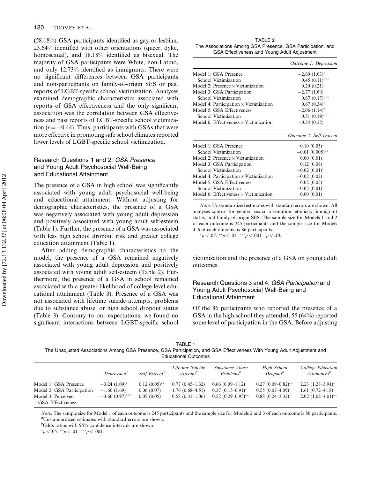(58.18%) GSA participants identified as gay or lesbian, 23.64% identified with other orientations (queer, dyke, homosexual), and 18.18% identified as bisexual. The majority of GSA participants were White, non-Latino, and only 12.73% identified as immigrants. There were no significant differences between GSA participants and non-participants on family-of-origin SES or past reports of LGBT-specific school victimization. Analyses examined demographic characteristics associated with reports of GSA effectiveness and the only significant association was the correlation between GSA effectiveness and past reports of LGBT-specific school victimization ( $r = -0.44$ ). Thus, participants with GSAs that were more effective in promoting safe school climates reported lower levels of LGBT-specific school victimization.

## Research Questions 1 and 2: GSA Presence and Young Adult Psychosocial Well-Being and Educational Attainment

The presence of a GSA in high school was significantly associated with young adult psychosocial well-being and educational attainment. Without adjusting for demographic characteristics, the presence of a GSA was negatively associated with young adult depression and positively associated with young adult self-esteem (Table 1). Further, the presence of a GSA was associated with less high school dropout risk and greater college education attainment (Table 1).

After adding demographic characteristics to the model, the presence of a GSA remained negatively associated with young adult depression and positively associated with young adult self-esteem (Table 2). Furthermore, the presence of a GSA in school remained associated with a greater likelihood of college-level educational attainment (Table 3). Presence of a GSA was not associated with lifetime suicide attempts, problems due to substance abuse, or high school dropout status (Table 3). Contrary to our expectations, we found no significant interactions between LGBT-specific school

TABLE 2 The Associations Among GSA Presence, GSA Participation, and GSA Effectiveness and Young Adult Adjustment

|                                               | Outcome 1: Depression         |
|-----------------------------------------------|-------------------------------|
| Model 1: GSA Presence                         | $-2.60$ $(1.03)^*$            |
| School Victimization                          | $0.45(0.11)$ ***              |
| Model 2: Presence $\times$ Victimization      | 0.20(0.21)                    |
| Model 3: GSA Participation                    | $-2.77(1.69)$                 |
| School Victimization                          | $0.67~(0.17)$ ***             |
| Model 4: Participation $\times$ Victimization | $0.67(0.34)^*$                |
| Model 5: GSA Effectiveness                    | $-2.06$ (1.14) <sup>†</sup>   |
| School Victimization                          | $0.51(0.19)$ **               |
| Model 6: Effectiveness $\times$ Victimization | $-0.24(0.22)$                 |
|                                               | Outcome 2: Self-Esteem        |
| Model 1: GSA Presence                         | $0.10~(0.05)^*$               |
| School Victimization                          | $-0.01(0.005)$ **             |
| Model 2: Presence $\times$ Victimization      | 0.00(0.01)                    |
| Model 3: GSA Participation                    | 0.12(0.08)                    |
| School Victimization                          | $-0.02$ $(0.01)^*$            |
| Model 4: Participation $\times$ Victimization | $-0.02(0.02)$                 |
| Model 5: GSA Effectiveness                    | 0.02(0.05)                    |
| School Victimization                          | $-0.02$ $(0.01)$ <sup>†</sup> |
| Model 6: Effectiveness $\times$ Victimization | 0.00(0.01)                    |

Note. Unstandardized estimates with standard errors are shown. All analyses control for gender, sexual orientation, ethnicity, immigrant status, and family of origin SES. The sample size for Models 1 and 2 of each outcome is 245 participants and the sample size for Models 4–6 of each outcome is 86 participants.

\* $p < .05.$  \*\* $p < .01.$  \*\*\* $p < .001.$   $\dagger p < .10.$ 

victimization and the presence of a GSA on young adult outcomes.

## Research Questions 3 and 4: GSA Participation and Young Adult Psychosocial Well-Being and Educational Attainment

Of the 86 participants who reported the presence of a GSA in the high school they attended, 55 (64%) reported some level of participation in the GSA. Before adjusting

|--|--|

The Unadjusted Associations Among GSA Presence, GSA Participation, and GSA Effectiveness With Young Adult Adjustment and Educational Outcomes

|                                                                                                       | Depression <sup>a</sup>                                  | Self-Esteem <sup>a</sup>                    | Lifetime Suicide<br>$\mathit{Attempt}^b$                    | Substance Abuse<br>Problems <sup>b</sup>                           | High School<br>$Dropout^b$                                       | College Education<br>Attainment <sup>b</sup>                               |
|-------------------------------------------------------------------------------------------------------|----------------------------------------------------------|---------------------------------------------|-------------------------------------------------------------|--------------------------------------------------------------------|------------------------------------------------------------------|----------------------------------------------------------------------------|
| Model 1: GSA Presence<br>Model 2: GSA Participation<br>Model 3: Perceived<br><b>GSA Effectiveness</b> | $-3.24$ $(1.09)^*$<br>$-1.66(1.69)$<br>$-3.66(0.97)$ *** | $0.12(0.05)$ **<br>0.06(0.07)<br>0.05(0.05) | $0.77(0.45-1.32)$<br>$1.76(0.68-4.51)$<br>$0.58(0.31-1.06)$ | $0.66(0.39-1.12)$<br>$0.37(0.15-0.91)^{*}$<br>$0.52(0.29-0.95)$ ** | $0.27(0.09-0.82)$ **<br>$0.55(0.07-4.09)$<br>$0.88(0.24 - 3.32)$ | $2.23$ $(1.28-3.91)^*$<br>$1.61(0.72 - 4.18)$<br>$2.02 (1.02 - 4.01)^{**}$ |

Note. The sample size for Model 1 of each outcome is 245 participants and the sample size for Models 2 and 3 of each outcome is 86 participants. Unstandardized estimates with standard errors are shown.

 $b$ Odds ratios with 95% confidence intervals are shown.

\* $p < .05.$  \*\* $p < .01.$  \*\*\* $p < .001.$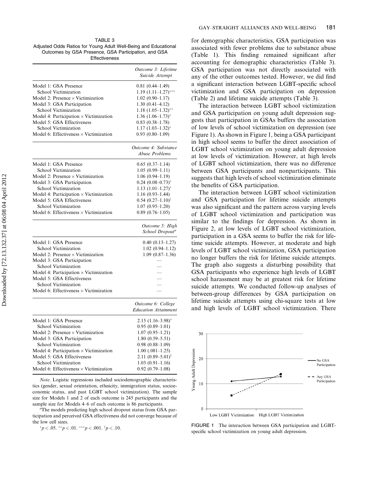TABLE 3 Adjusted Odds Ratios for Young Adult Well-Being and Educational Outcomes by GSA Presence, GSA Participation, and GSA **Effectiveness** 

|                                               | Outcome 3: Lifetime<br>Suicide Attempt         |
|-----------------------------------------------|------------------------------------------------|
| Model 1: GSA Presence                         | $0.81(0.44 - 1.49)$                            |
| School Victimization                          | $1.19(1.11-1.27)$ ***                          |
| Model 2: Presence $\times$ Victimization      | $1.02(0.90 - 1.17)$                            |
| Model 3: GSA Participation                    | $1.30(0.41-4.12)$                              |
| School Victimization                          | $1.18$ $(1.05-1.32)$ **                        |
| Model 4: Participation $\times$ Victimization | $1.36$ $(1.06-1.73)^{*}$                       |
| Model 5: GSA Effectiveness                    | $0.83(0.38-1.78)$                              |
| School Victimization                          | $1.17(1.03-1.32)^{*}$                          |
| Model 6: Effectiveness $\times$ Victimization | $0.93(0.80 - 1.09)$                            |
|                                               | Outcome 4: Substance<br>Abuse Problems         |
| Model 1: GSA Presence                         | $0.65(0.37-1.14)$                              |
| School Victimization                          | $1.05(0.99-1.11)$                              |
| Model 2: Presence $\times$ Victimization      | $1.06(0.94 - 1.19)$                            |
| Model 3: GSA Participation                    | $0.24 (0.08 - 0.73)^*$                         |
| School Victimization                          | $1.13(1.01-1.27)^{*}$                          |
| Model 4: Participation $\times$ Victimization | $1.16(0.93 - 1.44)$                            |
| Model 5: GSA Effectiveness                    | $0.54(0.27-1.10)^{\dagger}$                    |
| School Victimization                          | $1.07(0.95-1.20)$                              |
| Model 6: Effectiveness $\times$ Victimization | $0.89(0.76-1.05)$                              |
|                                               | Outcome 5: High<br>School Dropout <sup>a</sup> |
| Model 1: GSA Presence                         | $0.40(0.13 - 1.27)$                            |
| School Victimization                          | $1.02(0.94 - 1.12)$                            |
| Model 2: Presence $\times$ Victimization      | $1.09(0.87-1.36)$                              |
| Model 3: GSA Participation                    |                                                |
| School Victimization                          |                                                |
| Model 4: Participation $\times$ Victimization |                                                |
| Model 5: GSA Effectiveness                    |                                                |
| School Victimization                          |                                                |
| Model 6: Effectiveness $\times$ Victimization |                                                |
|                                               |                                                |

| Outcome 6: College<br><b>Education Attainment</b> |
|---------------------------------------------------|
| $2.15(1.16-3.98)^{*}$                             |
| $0.95(0.89-1.01)$                                 |
| $1.07(0.95-1.21)$                                 |
| $1.80(0.59 - 5.51)$                               |
| $0.98(0.88 - 1.09)$                               |
| $1.00$ $(.081-1.25)$                              |
| 2.11 $(0.89 - 5.01)^{\dagger}$                    |
| $1.03(0.91-1.16)$                                 |
| $0.92(0.79-1.08)$                                 |
|                                                   |

Note. Logistic regressions included sociodemographic characteristics (gender, sexual orientation, ethnicity, immigration status, socioeconomic status, and past LGBT school victimization). The sample size for Models 1 and 2 of each outcome is 245 participants and the sample size for Models 4–6 of each outcome is 86 participants.

a The models predicting high school dropout status from GSA participation and perceived GSA effectiveness did not converge because of the low cell sizes.

\* $p < .05.$  \*\* $p < .01.$  \*\*\*

for demographic characteristics, GSA participation was associated with fewer problems due to substance abuse (Table 1). This finding remained significant after accounting for demographic characteristics (Table 3). GSA participation was not directly associated with any of the other outcomes tested. However, we did find a significant interaction between LGBT-specific school victimization and GSA participation on depression (Table 2) and lifetime suicide attempts (Table 3).

The interaction between LGBT school victimization and GSA participation on young adult depression suggests that participation in GSAs buffers the association of low levels of school victimization on depression (see Figure 1). As shown in Figure 1, being a GSA participant in high school seems to buffer the direct association of LGBT school victimization on young adult depression at low levels of victimization. However, at high levels of LGBT school victimization, there was no difference between GSA participants and nonparticipants. This suggests that high levels of school victimization eliminate the benefits of GSA participation.

The interaction between LGBT school victimization and GSA participation for lifetime suicide attempts was also significant and the pattern across varying levels of LGBT school victimization and participation was similar to the findings for depression. As shown in Figure 2, at low levels of LGBT school victimization, participation in a GSA seems to buffer the risk for lifetime suicide attempts. However, at moderate and high levels of LGBT school victimization, GSA participation no longer buffers the risk for lifetime suicide attempts. The graph also suggests a disturbing possibility that GSA participants who experience high levels of LGBT school harassment may be at greatest risk for lifetime suicide attempts. We conducted follow-up analyses of between-group differences by GSA participation on lifetime suicide attempts using chi-square tests at low and high levels of LGBT school victimization. There



FIGURE 1 The interaction between GSA participation and LGBTspecific school victimization on young adult depression.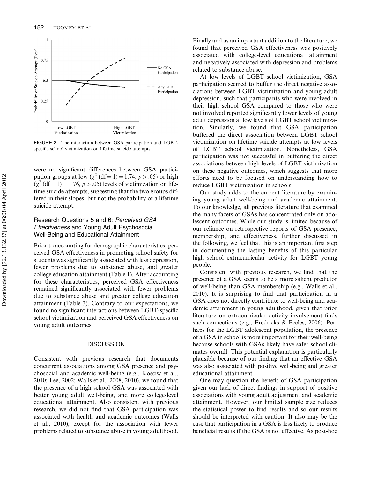

FIGURE 2 The interaction between GSA participation and LGBTspecific school victimization on lifetime suicide attempts.

were no significant differences between GSA participation groups at low  $\left(\chi^2\left(\text{df}=1\right)=1.74, p > .05\right)$  or high  $(\chi^2$  (df = 1) = 1.76, p > .05) levels of victimization on lifetime suicide attempts, suggesting that the two groups differed in their slopes, but not the probability of a lifetime suicide attempt.

## Research Questions 5 and 6: Perceived GSA Effectiveness and Young Adult Psychosocial Well-Being and Educational Attainment

Prior to accounting for demographic characteristics, perceived GSA effectiveness in promoting school safety for students was significantly associated with less depression, fewer problems due to substance abuse, and greater college education attainment (Table 1). After accounting for these characteristics, perceived GSA effectiveness remained significantly associated with fewer problems due to substance abuse and greater college education attainment (Table 3). Contrary to our expectations, we found no significant interactions between LGBT-specific school victimization and perceived GSA effectiveness on young adult outcomes.

#### **DISCUSSION**

Consistent with previous research that documents concurrent associations among GSA presence and psychosocial and academic well-being (e.g., Kosciw et al., 2010; Lee, 2002; Walls et al., 2008, 2010), we found that the presence of a high school GSA was associated with better young adult well-being, and more college-level educational attainment. Also consistent with previous research, we did not find that GSA participation was associated with health and academic outcomes (Walls et al., 2010), except for the association with fewer problems related to substance abuse in young adulthood.

Finally and as an important addition to the literature, we found that perceived GSA effectiveness was positively associated with college-level educational attainment and negatively associated with depression and problems related to substance abuse.

At low levels of LGBT school victimization, GSA participation seemed to buffer the direct negative associations between LGBT victimization and young adult depression, such that participants who were involved in their high school GSA compared to those who were not involved reported significantly lower levels of young adult depression at low levels of LGBT school victimization. Similarly, we found that GSA participation buffered the direct association between LGBT school victimization on lifetime suicide attempts at low levels of LGBT school victimization. Nonetheless, GSA participation was not successful in buffering the direct associations between high levels of LGBT victimization on these negative outcomes, which suggests that more efforts need to be focused on understanding how to reduce LGBT victimization in schools.

Our study adds to the current literature by examining young adult well-being and academic attainment. To our knowledge, all previous literature that examined the many facets of GSAs has concentrated only on adolescent outcomes. While our study is limited because of our reliance on retrospective reports of GSA presence, membership, and effectiveness, further discussed in the following, we feel that this is an important first step in documenting the lasting benefits of this particular high school extracurricular activity for LGBT young people.

Consistent with previous research, we find that the presence of a GSA seems to be a more salient predictor of well-being than GSA membership (e.g., Walls et al., 2010). It is surprising to find that participation in a GSA does not directly contribute to well-being and academic attainment in young adulthood, given that prior literature on extracurricular activity involvement finds such connections (e.g., Fredricks & Eccles, 2006). Perhaps for the LGBT adolescent population, the presence of a GSA in school is more important for their well-being because schools with GSAs likely have safer school climates overall. This potential explanation is particularly plausible because of our finding that an effective GSA was also associated with positive well-being and greater educational attainment.

One may question the benefit of GSA participation given our lack of direct findings in support of positive associations with young adult adjustment and academic attainment. However, our limited sample size reduces the statistical power to find results and so our results should be interpreted with caution. It also may be the case that participation in a GSA is less likely to produce beneficial results if the GSA is not effective. As post-hoc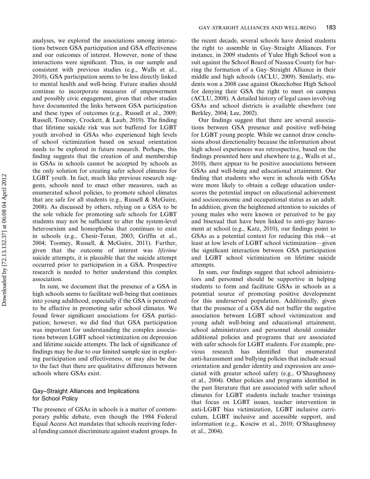analyses, we explored the associations among interactions between GSA participation and GSA effectiveness and our outcomes of interest. However, none of these interactions were significant. Thus, in our sample and consistent with previous studies (e.g., Walls et al., 2010), GSA participation seems to be less directly linked to mental health and well-being. Future studies should continue to incorporate measures of empowerment and possibly civic engagement, given that other studies have documented the links between GSA participation and these types of outcomes (e.g., Russell et al., 2009; Russell, Toomey, Crockett, & Laub, 2010). The finding that lifetime suicide risk was not buffered for LGBT youth involved in GSAs who experienced high levels of school victimization based on sexual orientation needs to be explored in future research. Perhaps, this finding suggests that the creation of and membership in GSAs in schools cannot be accepted by schools as the only solution for creating safer school climates for LGBT youth. In fact, much like previous research suggests, schools need to enact other measures, such as enumerated school policies, to promote school climates that are safe for all students (e.g., Russell & McGuire, 2008). As discussed by others, relying on a GSA to be the sole vehicle for promoting safe schools for LGBT students may not be sufficient to alter the system-level heterosexism and homophobia that continues to exist in schools (e.g., Chesir-Teran, 2003; Griffin et al., 2004; Toomey, Russell, & McGuire, 2011). Further, given that the outcome of interest was lifetime suicide attempts, it is plausible that the suicide attempt occurred prior to participation in a GSA. Prospective research is needed to better understand this complex association.

In sum, we document that the presence of a GSA in high schools seems to facilitate well-being that continues into young adulthood, especially if the GSA is perceived to be effective in promoting safer school climates. We found fewer significant associations for GSA participation; however, we did find that GSA participation was important for understanding the complex associations between LGBT school victimization on depression and lifetime suicide attempts. The lack of significance of findings may be due to our limited sample size in exploring participation and effectiveness, or may also be due to the fact that there are qualitative differences between schools where GSAs exist.

## Gay–Straight Alliances and Implications for School Policy

The presence of GSAs in schools is a matter of contemporary public debate, even though the 1984 Federal Equal Access Act mandates that schools receiving federal funding cannot discriminate against student groups. In the recent decade, several schools have denied students the right to assemble in Gay–Straight Alliances. For instance, in 2009 students of Yulee High School won a suit against the School Board of Nassau County for barring the formation of a Gay–Straight Alliance in their middle and high schools (ACLU, 2009). Similarly, students won a 2008 case against Okeechobee High School for denying their GSA the right to meet on campus (ACLU, 2008). A detailed history of legal cases involving GSAs and school districts is available elsewhere (see Berkley, 2004; Lee, 2002).

Our findings suggest that there are several associations between GSA presence and positive well-being for LGBT young people. While we cannot draw conclusions about directionality because the information about high school experiences was retrospective, based on the findings presented here and elsewhere (e.g., Walls et al., 2010), there appear to be positive associations between GSAs and well-being and educational attainment. Our finding that students who were in schools with GSAs were more likely to obtain a college education underscores the potential impact on educational achievement and socioeconomic and occupational status as an adult. In addition, given the heightened attention to suicides of young males who were known or perceived to be gay and bisexual that have been linked to anti-gay harassment at school (e.g., Katz, 2010), our findings point to GSAs as a potential context for reducing this risk—at least at low levels of LGBT school victimization—given the significant interaction between GSA participation and LGBT school victimization on lifetime suicide attempts.

In sum, our findings suggest that school administrators and personnel should be supportive in helping students to form and facilitate GSAs in schools as a potential source of promoting positive development for this underserved population. Additionally, given that the presence of a GSA did not buffer the negative association between LGBT school victimization and young adult well-being and educational attainment, school administrators and personnel should consider additional policies and programs that are associated with safer schools for LGBT students. For example, previous research has identified that enumerated anti-harassment and bullying policies that include sexual orientation and gender identity and expression are associated with greater school safety (e.g., O'Shaughnessy et al., 2004). Other policies and programs identified in the past literature that are associated with safer school climates for LGBT students include teacher trainings that focus on LGBT issues, teacher intervention in anti-LGBT bias victimization, LGBT inclusive curriculum, LGBT inclusive and accessible support, and information (e.g., Kosciw et al., 2010; O'Shaughnessy et al., 2004).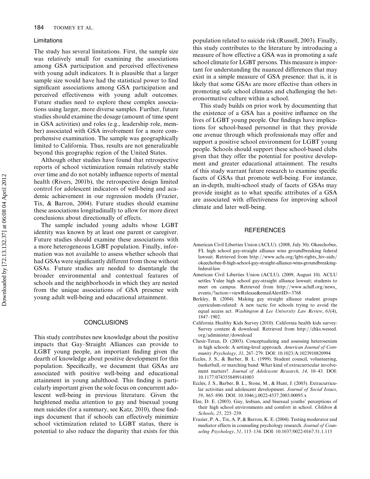#### Limitations

The study has several limitations. First, the sample size was relatively small for examining the associations among GSA participation and perceived effectiveness with young adult indicators. It is plausible that a larger sample size would have had the statistical power to find significant associations among GSA participation and perceived effectiveness with young adult outcomes. Future studies need to explore these complex associations using larger, more diverse samples. Further, future studies should examine the dosage (amount of time spent in GSA activities) and roles (e.g., leadership role, member) associated with GSA involvement for a more comprehensive examination. The sample was geographically limited to California. Thus, results are not generalizable beyond this geographic region of the United States.

Although other studies have found that retrospective reports of school victimization remain relatively stable over time and do not notably influence reports of mental health (Rivers, 2001b), the retrospective design limited control for adolescent indicators of well-being and academic achievement in our regression models (Frazier, Tix, & Barron, 2004). Future studies should examine these associations longitudinally to allow for more direct conclusions about directionally of effects.

The sample included young adults whose LGBT identity was known by at least one parent or caregiver. Future studies should examine these associations with a more heterogeneous LGBT population. Finally, information was not available to assess whether schools that had GSAs were significantly different from those without GSAs. Future studies are needed to disentangle the broader environmental and contextual features of schools and the neighborhoods in which they are nested from the unique associations of GSA presence with young adult well-being and educational attainment.

## **CONCLUSIONS**

This study contributes new knowledge about the positive impacts that Gay–Straight Alliances can provide to LGBT young people, an important finding given the dearth of knowledge about positive development for this population. Specifically, we document that GSAs are associated with positive well-being and educational attainment in young adulthood. This finding is particularly important given the sole focus on concurrent adolescent well-being in previous literature. Given the heightened media attention to gay and bisexual young men suicides (for a summary, see Katz, 2010), these findings document that if schools can effectively minimize school victimization related to LGBT status, there is potential to also reduce the disparity that exists for this population related to suicide risk (Russell, 2003). Finally, this study contributes to the literature by introducing a measure of how effective a GSA was in promoting a safe school climate for LGBT persons. This measure is important for understanding the nuanced differences that may exist in a simple measure of GSA presence: that is, it is likely that some GSAs are more effective than others in promoting safe school climates and challenging the heteronormative culture within a school.

This study builds on prior work by documenting that the existence of a GSA has a positive influence on the lives of LGBT young people. Our findings have implications for school-based personnel in that they provide one avenue through which professionals may offer and support a positive school environment for LGBT young people. Schools should support these school-based clubs given that they offer the potential for positive development and greater educational attainment. The results of this study warrant future research to examine specific facets of GSAs that promote well-being. For instance, an in-depth, multi-school study of facets of GSAs may provide insight as to what specific attributes of a GSA are associated with effectiveness for improving school climate and later well-being.

#### **REFERENCES**

- American Civil Liberties Union (ACLU). (2008, July 30). Okeechobee, FL high school gay-straight alliance wins groundbreaking federal lawsuit. Retrieved from http://www.aclu.org/lgbt-rights\_hiv-aids/ okeechobee-fl-high-school-gay-straight-alliance-wins-groundbreakingfederal-law
- American Civil Liberties Union (ACLU). (2009, August 10). ACLU settles Yulee high school gay-straight alliance lawsuit; students to meet on campus. Retrieved from http://www.aclufl.org/news\_ events/?action=viewRelease&emailAlertID=3768
- Berkley, B. (2004). Making gay straight alliance student groups curriculum-related: A new tactic for schools trying to avoid the equal access act. Washington & Lee University Law Review, 61(4), 1847–1902.
- California Healthy Kids Survey (2010). California health kids survey: Survey content & download. Retrieved from http://chks.wested. org/administer/download
- Chesir-Teran, D. (2003). Conceptualizing and assessing heterosexism in high schools: A setting-level approach. American Journal of Community Psychology, 31, 267–279. DOI: 10.1023/A:1023910820994
- Eccles, J. S., & Barber, B. L. (1999). Student council, volunteering, basketball, or marching band: What kind of extracurricular involvement matters?. Journal of Adolescent Research, 14, 10–43. DOI: 10.1177/0743558499141003
- Eccles, J. S., Barber, B. L., Stone, M., & Hunt, J. (2003). Extracurricular activities and adolescent development. Journal of Social Issues, 59, 865–890. DOI: 10.1046/j.0022-4537.2003.00095.x
- Elze, D. E. (2003). Gay, lesbian, and bisexual youths' perceptions of their high school environments and comfort in school. Children & Schools, 25, 225–239.
- Frazier, P. A., Tix, A. P, & Barron, K. E. (2004). Testing moderator and mediator effects in counseling psychology research. Journal of Counseling Psychology, 51, 115–134. DOI: 10.1037/0022-0167.51.1.115